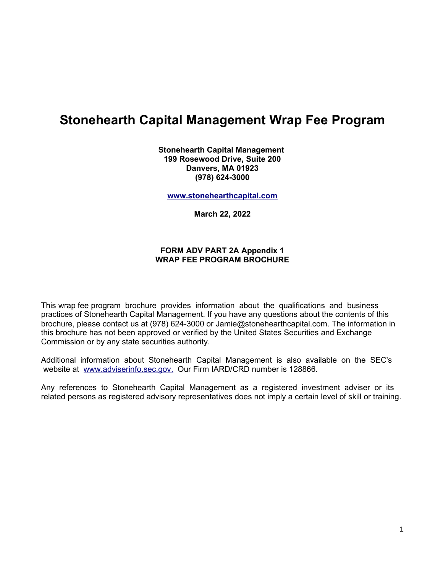# **Stonehearth Capital Management Wrap Fee Program**

**Stonehearth Capital Management 199 Rosewood Drive, Suite 200 Danvers, MA 01923 (978) 624-3000**

**[www.stonehearthcapital.com](http://www.stonehearthcapital.com/)**

**March 22, 2022**

### **FORM ADV PART 2A Appendix 1 WRAP FEE PROGRAM BROCHURE**

This wrap fee program brochure provides information about the qualifications and business practices of Stonehearth Capital Management. If you have any questions about the contents of this brochure, please contact us at (978) 624-3000 or Jamie@stonehearthcapital.com. The information in this brochure has not been approved or verified by the United States Securities and Exchange Commission or by any state securities authority.

Additional information about Stonehearth Capital Management is also available on the SEC's website at [www.adviserinfo.sec.gov.](http://www.adviserinfo.sec.gov/) Our Firm IARD/CRD number is 128866.

Any references to Stonehearth Capital Management as a registered investment adviser or its related persons as registered advisory representatives does not imply a certain level of skill or training.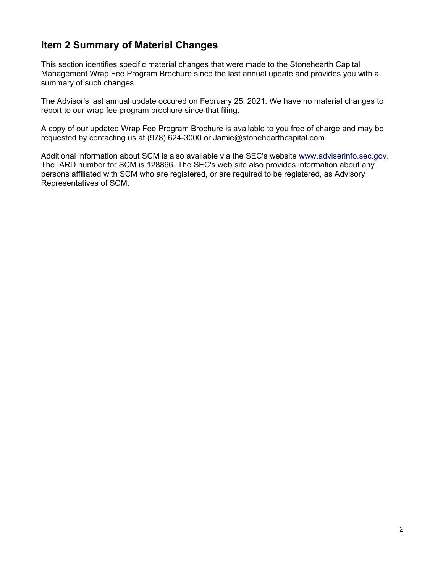# **Item 2 Summary of Material Changes**

This section identifies specific material changes that were made to the Stonehearth Capital Management Wrap Fee Program Brochure since the last annual update and provides you with a summary of such changes.

The Advisor's last annual update occured on February 25, 2021. We have no material changes to report to our wrap fee program brochure since that filing.

A copy of our updated Wrap Fee Program Brochure is available to you free of charge and may be requested by contacting us at (978) 624-3000 or Jamie@stonehearthcapital.com.

Additional information about SCM is also available via the SEC's website [www.adviserinfo.sec.gov.](http://www.adviserinfo.sec.gov/) The IARD number for SCM is 128866. The SEC's web site also provides information about any persons affiliated with SCM who are registered, or are required to be registered, as Advisory Representatives of SCM.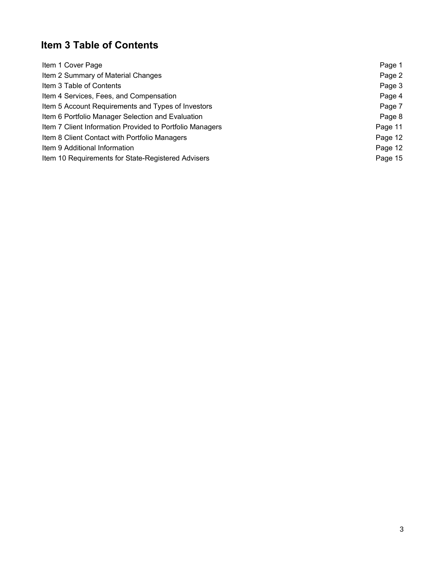# **Item 3 Table of Contents**

| Item 1 Cover Page                                        | Page 1  |
|----------------------------------------------------------|---------|
| Item 2 Summary of Material Changes                       | Page 2  |
| Item 3 Table of Contents                                 | Page 3  |
| Item 4 Services, Fees, and Compensation                  | Page 4  |
| Item 5 Account Requirements and Types of Investors       | Page 7  |
| Item 6 Portfolio Manager Selection and Evaluation        | Page 8  |
| Item 7 Client Information Provided to Portfolio Managers | Page 11 |
| Item 8 Client Contact with Portfolio Managers            | Page 12 |
| Item 9 Additional Information                            | Page 12 |
| Item 10 Requirements for State-Registered Advisers       | Page 15 |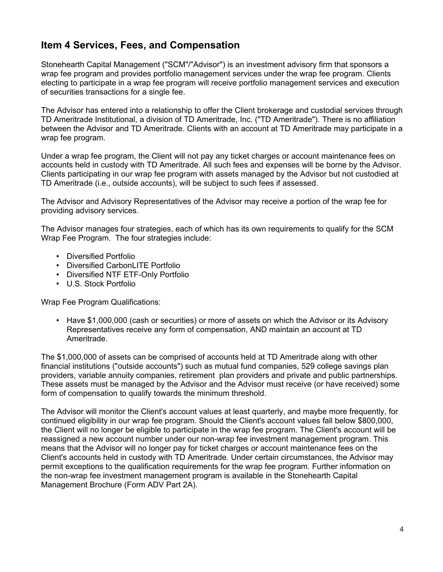# **Item 4 Services, Fees, and Compensation**

Stonehearth Capital Management ("SCM"/"Advisor") is an investment advisory firm that sponsors a wrap fee program and provides portfolio management services under the wrap fee program. Clients electing to participate in a wrap fee program will receive portfolio management services and execution of securities transactions for a single fee.

The Advisor has entered into a relationship to offer the Client brokerage and custodial services through TD Ameritrade Institutional, a division of TD Ameritrade, Inc. ("TD Ameritrade"). There is no affiliation between the Advisor and TD Ameritrade. Clients with an account at TD Ameritrade may participate in a wrap fee program.

Under a wrap fee program, the Client will not pay any ticket charges or account maintenance fees on accounts held in custody with TD Ameritrade. All such fees and expenses will be borne by the Advisor. Clients participating in our wrap fee program with assets managed by the Advisor but not custodied at TD Ameritrade (i.e., outside accounts), will be subject to such fees if assessed.

The Advisor and Advisory Representatives of the Advisor may receive a portion of the wrap fee for providing advisory services.

The Advisor manages four strategies, each of which has its own requirements to qualify for the SCM Wrap Fee Program. The four strategies include:

- Diversified Portfolio
- Diversified CarbonLITE Portfolio
- Diversified NTF ETF-Only Portfolio
- U.S. Stock Portfolio

Wrap Fee Program Qualifications:

• Have \$1,000,000 (cash or securities) or more of assets on which the Advisor or its Advisory Representatives receive any form of compensation, AND maintain an account at TD Ameritrade.

The \$1,000,000 of assets can be comprised of accounts held at TD Ameritrade along with other financial institutions ("outside accounts") such as mutual fund companies, 529 college savings plan providers, variable annuity companies, retirement plan providers and private and public partnerships. These assets must be managed by the Advisor and the Advisor must receive (or have received) some form of compensation to qualify towards the minimum threshold.

The Advisor will monitor the Client's account values at least quarterly, and maybe more frequently, for continued eligibility in our wrap fee program. Should the Client's account values fall below \$800,000, the Client will no longer be eligible to participate in the wrap fee program. The Client's account will be reassigned a new account number under our non-wrap fee investment management program. This means that the Advisor will no longer pay for ticket charges or account maintenance fees on the Client's accounts held in custody with TD Ameritrade. Under certain circumstances, the Advisor may permit exceptions to the qualification requirements for the wrap fee program. Further information on the non-wrap fee investment management program is available in the Stonehearth Capital Management Brochure (Form ADV Part 2A).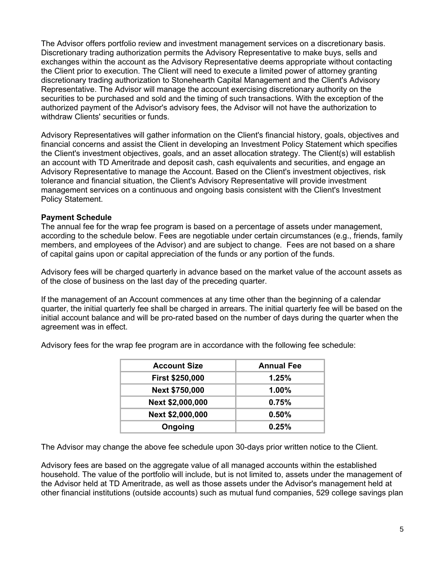The Advisor offers portfolio review and investment management services on a discretionary basis. Discretionary trading authorization permits the Advisory Representative to make buys, sells and exchanges within the account as the Advisory Representative deems appropriate without contacting the Client prior to execution. The Client will need to execute a limited power of attorney granting discretionary trading authorization to Stonehearth Capital Management and the Client's Advisory Representative. The Advisor will manage the account exercising discretionary authority on the securities to be purchased and sold and the timing of such transactions. With the exception of the authorized payment of the Advisor's advisory fees, the Advisor will not have the authorization to withdraw Clients' securities or funds.

Advisory Representatives will gather information on the Client's financial history, goals, objectives and financial concerns and assist the Client in developing an Investment Policy Statement which specifies the Client's investment objectives, goals, and an asset allocation strategy. The Client(s) will establish an account with TD Ameritrade and deposit cash, cash equivalents and securities, and engage an Advisory Representative to manage the Account. Based on the Client's investment objectives, risk tolerance and financial situation, the Client's Advisory Representative will provide investment management services on a continuous and ongoing basis consistent with the Client's Investment Policy Statement.

#### **Payment Schedule**

The annual fee for the wrap fee program is based on a percentage of assets under management, according to the schedule below. Fees are negotiable under certain circumstances (e.g., friends, family members, and employees of the Advisor) and are subject to change. Fees are not based on a share of capital gains upon or capital appreciation of the funds or any portion of the funds.

Advisory fees will be charged quarterly in advance based on the market value of the account assets as of the close of business on the last day of the preceding quarter.

If the management of an Account commences at any time other than the beginning of a calendar quarter, the initial quarterly fee shall be charged in arrears. The initial quarterly fee will be based on the initial account balance and will be pro-rated based on the number of days during the quarter when the agreement was in effect.

| <b>Account Size</b>    | <b>Annual Fee</b> |
|------------------------|-------------------|
| <b>First \$250,000</b> | 1.25%             |
| Next \$750,000         | 1.00%             |
| Next \$2,000,000       | 0.75%             |
| Next \$2,000,000       | 0.50%             |
| Ongoing                | 0.25%             |

Advisory fees for the wrap fee program are in accordance with the following fee schedule:

The Advisor may change the above fee schedule upon 30-days prior written notice to the Client.

Advisory fees are based on the aggregate value of all managed accounts within the established household. The value of the portfolio will include, but is not limited to, assets under the management of the Advisor held at TD Ameritrade, as well as those assets under the Advisor's management held at other financial institutions (outside accounts) such as mutual fund companies, 529 college savings plan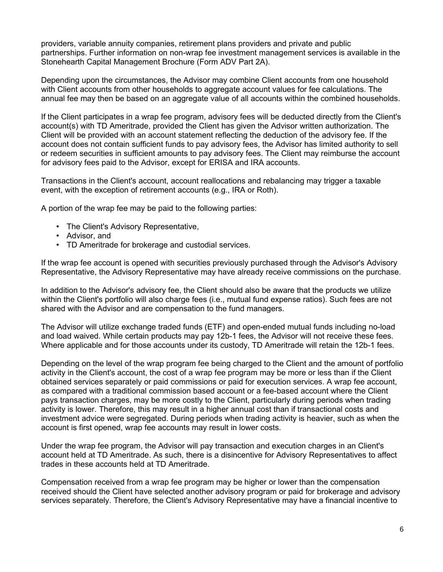providers, variable annuity companies, retirement plans providers and private and public partnerships. Further information on non-wrap fee investment management services is available in the Stonehearth Capital Management Brochure (Form ADV Part 2A).

Depending upon the circumstances, the Advisor may combine Client accounts from one household with Client accounts from other households to aggregate account values for fee calculations. The annual fee may then be based on an aggregate value of all accounts within the combined households.

If the Client participates in a wrap fee program, advisory fees will be deducted directly from the Client's account(s) with TD Ameritrade, provided the Client has given the Advisor written authorization. The Client will be provided with an account statement reflecting the deduction of the advisory fee. If the account does not contain sufficient funds to pay advisory fees, the Advisor has limited authority to sell or redeem securities in sufficient amounts to pay advisory fees. The Client may reimburse the account for advisory fees paid to the Advisor, except for ERISA and IRA accounts.

Transactions in the Client's account, account reallocations and rebalancing may trigger a taxable event, with the exception of retirement accounts (e.g., IRA or Roth).

A portion of the wrap fee may be paid to the following parties:

- The Client's Advisory Representative,
- Advisor, and
- TD Ameritrade for brokerage and custodial services.

If the wrap fee account is opened with securities previously purchased through the Advisor's Advisory Representative, the Advisory Representative may have already receive commissions on the purchase.

In addition to the Advisor's advisory fee, the Client should also be aware that the products we utilize within the Client's portfolio will also charge fees (i.e., mutual fund expense ratios). Such fees are not shared with the Advisor and are compensation to the fund managers.

The Advisor will utilize exchange traded funds (ETF) and open-ended mutual funds including no-load and load waived. While certain products may pay 12b-1 fees, the Advisor will not receive these fees. Where applicable and for those accounts under its custody, TD Ameritrade will retain the 12b-1 fees.

Depending on the level of the wrap program fee being charged to the Client and the amount of portfolio activity in the Client's account, the cost of a wrap fee program may be more or less than if the Client obtained services separately or paid commissions or paid for execution services. A wrap fee account, as compared with a traditional commission based account or a fee-based account where the Client pays transaction charges, may be more costly to the Client, particularly during periods when trading activity is lower. Therefore, this may result in a higher annual cost than if transactional costs and investment advice were segregated. During periods when trading activity is heavier, such as when the account is first opened, wrap fee accounts may result in lower costs.

Under the wrap fee program, the Advisor will pay transaction and execution charges in an Client's account held at TD Ameritrade. As such, there is a disincentive for Advisory Representatives to affect trades in these accounts held at TD Ameritrade.

Compensation received from a wrap fee program may be higher or lower than the compensation received should the Client have selected another advisory program or paid for brokerage and advisory services separately. Therefore, the Client's Advisory Representative may have a financial incentive to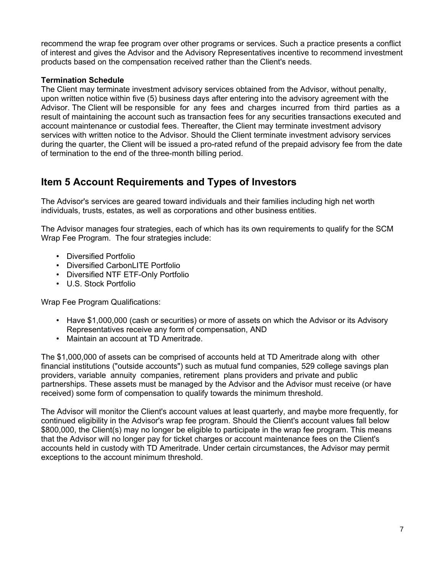recommend the wrap fee program over other programs or services. Such a practice presents a conflict of interest and gives the Advisor and the Advisory Representatives incentive to recommend investment products based on the compensation received rather than the Client's needs.

# **Termination Schedule**

The Client may terminate investment advisory services obtained from the Advisor, without penalty, upon written notice within five (5) business days after entering into the advisory agreement with the Advisor. The Client will be responsible for any fees and charges incurred from third parties as a result of maintaining the account such as transaction fees for any securities transactions executed and account maintenance or custodial fees. Thereafter, the Client may terminate investment advisory services with written notice to the Advisor. Should the Client terminate investment advisory services during the quarter, the Client will be issued a pro-rated refund of the prepaid advisory fee from the date of termination to the end of the three-month billing period.

# **Item 5 Account Requirements and Types of Investors**

The Advisor's services are geared toward individuals and their families including high net worth individuals, trusts, estates, as well as corporations and other business entities.

The Advisor manages four strategies, each of which has its own requirements to qualify for the SCM Wrap Fee Program. The four strategies include:

- Diversified Portfolio
- Diversified CarbonLITE Portfolio
- Diversified NTF ETF-Only Portfolio
- U.S. Stock Portfolio

Wrap Fee Program Qualifications:

- Have \$1,000,000 (cash or securities) or more of assets on which the Advisor or its Advisory Representatives receive any form of compensation, AND
- Maintain an account at TD Ameritrade.

The \$1,000,000 of assets can be comprised of accounts held at TD Ameritrade along with other financial institutions ("outside accounts") such as mutual fund companies, 529 college savings plan providers, variable annuity companies, retirement plans providers and private and public partnerships. These assets must be managed by the Advisor and the Advisor must receive (or have received) some form of compensation to qualify towards the minimum threshold.

The Advisor will monitor the Client's account values at least quarterly, and maybe more frequently, for continued eligibility in the Advisor's wrap fee program. Should the Client's account values fall below \$800,000, the Client(s) may no longer be eligible to participate in the wrap fee program. This means that the Advisor will no longer pay for ticket charges or account maintenance fees on the Client's accounts held in custody with TD Ameritrade. Under certain circumstances, the Advisor may permit exceptions to the account minimum threshold.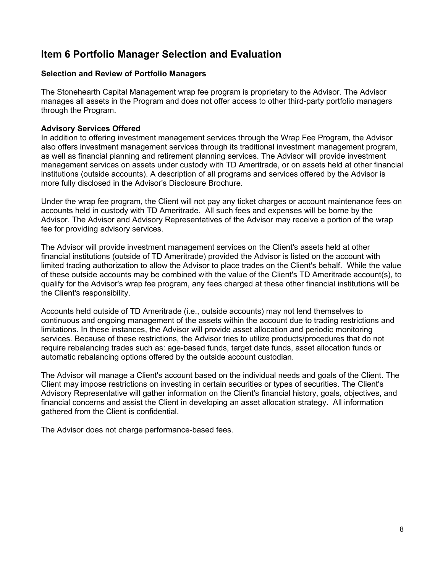# **Item 6 Portfolio Manager Selection and Evaluation**

# **Selection and Review of Portfolio Managers**

The Stonehearth Capital Management wrap fee program is proprietary to the Advisor. The Advisor manages all assets in the Program and does not offer access to other third-party portfolio managers through the Program.

# **Advisory Services Offered**

In addition to offering investment management services through the Wrap Fee Program, the Advisor also offers investment management services through its traditional investment management program, as well as financial planning and retirement planning services. The Advisor will provide investment management services on assets under custody with TD Ameritrade, or on assets held at other financial institutions (outside accounts). A description of all programs and services offered by the Advisor is more fully disclosed in the Advisor's Disclosure Brochure.

Under the wrap fee program, the Client will not pay any ticket charges or account maintenance fees on accounts held in custody with TD Ameritrade. All such fees and expenses will be borne by the Advisor. The Advisor and Advisory Representatives of the Advisor may receive a portion of the wrap fee for providing advisory services.

The Advisor will provide investment management services on the Client's assets held at other financial institutions (outside of TD Ameritrade) provided the Advisor is listed on the account with limited trading authorization to allow the Advisor to place trades on the Client's behalf. While the value of these outside accounts may be combined with the value of the Client's TD Ameritrade account(s), to qualify for the Advisor's wrap fee program, any fees charged at these other financial institutions will be the Client's responsibility.

Accounts held outside of TD Ameritrade (i.e., outside accounts) may not lend themselves to continuous and ongoing management of the assets within the account due to trading restrictions and limitations. In these instances, the Advisor will provide asset allocation and periodic monitoring services. Because of these restrictions, the Advisor tries to utilize products/procedures that do not require rebalancing trades such as: age-based funds, target date funds, asset allocation funds or automatic rebalancing options offered by the outside account custodian.

The Advisor will manage a Client's account based on the individual needs and goals of the Client. The Client may impose restrictions on investing in certain securities or types of securities. The Client's Advisory Representative will gather information on the Client's financial history, goals, objectives, and financial concerns and assist the Client in developing an asset allocation strategy. All information gathered from the Client is confidential.

The Advisor does not charge performance-based fees.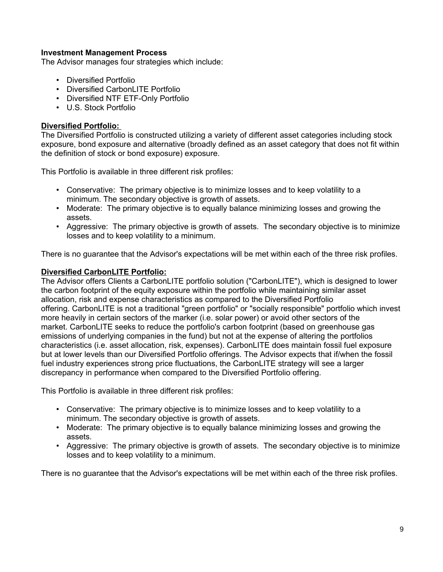## **Investment Management Process**

The Advisor manages four strategies which include:

- Diversified Portfolio
- Diversified CarbonLITE Portfolio
- Diversified NTF ETF-Only Portfolio
- U.S. Stock Portfolio

# **Diversified Portfolio:**

The Diversified Portfolio is constructed utilizing a variety of different asset categories including stock exposure, bond exposure and alternative (broadly defined as an asset category that does not fit within the definition of stock or bond exposure) exposure.

This Portfolio is available in three different risk profiles:

- Conservative: The primary objective is to minimize losses and to keep volatility to a minimum. The secondary objective is growth of assets.
- Moderate: The primary objective is to equally balance minimizing losses and growing the assets.
- Aggressive: The primary objective is growth of assets. The secondary objective is to minimize losses and to keep volatility to a minimum.

There is no guarantee that the Advisor's expectations will be met within each of the three risk profiles.

## **Diversified CarbonLITE Portfolio:**

The Advisor offers Clients a CarbonLITE portfolio solution ("CarbonLITE"), which is designed to lower the carbon footprint of the equity exposure within the portfolio while maintaining similar asset allocation, risk and expense characteristics as compared to the Diversified Portfolio offering. CarbonLITE is not a traditional "green portfolio" or "socially responsible" portfolio which invest more heavily in certain sectors of the marker (i.e. solar power) or avoid other sectors of the market. CarbonLITE seeks to reduce the portfolio's carbon footprint (based on greenhouse gas emissions of underlying companies in the fund) but not at the expense of altering the portfolios characteristics (i.e. asset allocation, risk, expenses). CarbonLITE does maintain fossil fuel exposure but at lower levels than our Diversified Portfolio offerings. The Advisor expects that if/when the fossil fuel industry experiences strong price fluctuations, the CarbonLITE strategy will see a larger discrepancy in performance when compared to the Diversified Portfolio offering.

This Portfolio is available in three different risk profiles:

- Conservative: The primary objective is to minimize losses and to keep volatility to a minimum. The secondary objective is growth of assets.
- Moderate: The primary objective is to equally balance minimizing losses and growing the assets.
- Aggressive: The primary objective is growth of assets. The secondary objective is to minimize losses and to keep volatility to a minimum.

There is no guarantee that the Advisor's expectations will be met within each of the three risk profiles.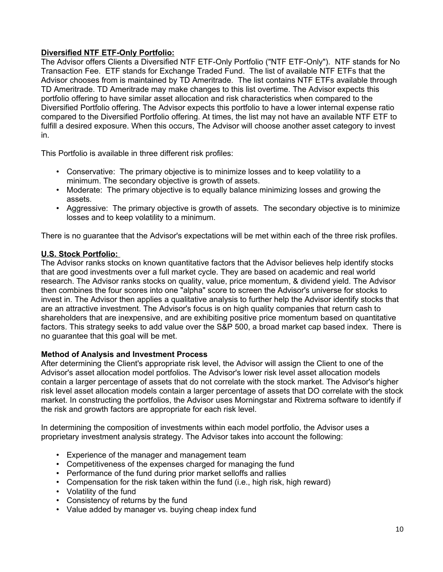# **Diversified NTF ETF-Only Portfolio:**

The Advisor offers Clients a Diversified NTF ETF-Only Portfolio ("NTF ETF-Only"). NTF stands for No Transaction Fee. ETF stands for Exchange Traded Fund. The list of available NTF ETFs that the Advisor chooses from is maintained by TD Ameritrade. The list contains NTF ETFs available through TD Ameritrade. TD Ameritrade may make changes to this list overtime. The Advisor expects this portfolio offering to have similar asset allocation and risk characteristics when compared to the Diversified Portfolio offering. The Advisor expects this portfolio to have a lower internal expense ratio compared to the Diversified Portfolio offering. At times, the list may not have an available NTF ETF to fulfill a desired exposure. When this occurs, The Advisor will choose another asset category to invest in.

This Portfolio is available in three different risk profiles:

- Conservative: The primary objective is to minimize losses and to keep volatility to a minimum. The secondary objective is growth of assets.
- Moderate: The primary objective is to equally balance minimizing losses and growing the assets.
- Aggressive: The primary objective is growth of assets. The secondary objective is to minimize losses and to keep volatility to a minimum.

There is no guarantee that the Advisor's expectations will be met within each of the three risk profiles.

# **U.S. Stock Portfolio:**

The Advisor ranks stocks on known quantitative factors that the Advisor believes help identify stocks that are good investments over a full market cycle. They are based on academic and real world research. The Advisor ranks stocks on quality, value, price momentum, & dividend yield. The Advisor then combines the four scores into one "alpha" score to screen the Advisor's universe for stocks to invest in. The Advisor then applies a qualitative analysis to further help the Advisor identify stocks that are an attractive investment. The Advisor's focus is on high quality companies that return cash to shareholders that are inexpensive, and are exhibiting positive price momentum based on quantitative factors. This strategy seeks to add value over the S&P 500, a broad market cap based index. There is no guarantee that this goal will be met.

## **Method of Analysis and Investment Process**

After determining the Client's appropriate risk level, the Advisor will assign the Client to one of the Advisor's asset allocation model portfolios. The Advisor's lower risk level asset allocation models contain a larger percentage of assets that do not correlate with the stock market. The Advisor's higher risk level asset allocation models contain a larger percentage of assets that DO correlate with the stock market. In constructing the portfolios, the Advisor uses Morningstar and Rixtrema software to identify if the risk and growth factors are appropriate for each risk level.

In determining the composition of investments within each model portfolio, the Advisor uses a proprietary investment analysis strategy. The Advisor takes into account the following:

- Experience of the manager and management team
- Competitiveness of the expenses charged for managing the fund
- Performance of the fund during prior market selloffs and rallies
- Compensation for the risk taken within the fund (i.e., high risk, high reward)
- Volatility of the fund
- Consistency of returns by the fund
- Value added by manager vs. buying cheap index fund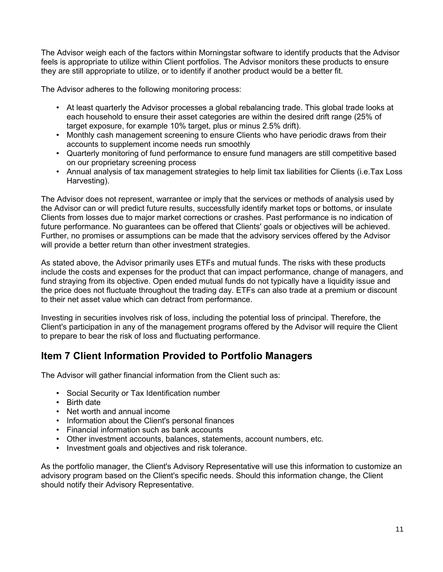The Advisor weigh each of the factors within Morningstar software to identify products that the Advisor feels is appropriate to utilize within Client portfolios. The Advisor monitors these products to ensure they are still appropriate to utilize, or to identify if another product would be a better fit.

The Advisor adheres to the following monitoring process:

- At least quarterly the Advisor processes a global rebalancing trade. This global trade looks at each household to ensure their asset categories are within the desired drift range (25% of target exposure, for example 10% target, plus or minus 2.5% drift).
- Monthly cash management screening to ensure Clients who have periodic draws from their accounts to supplement income needs run smoothly
- Quarterly monitoring of fund performance to ensure fund managers are still competitive based on our proprietary screening process
- Annual analysis of tax management strategies to help limit tax liabilities for Clients (i.e.Tax Loss Harvesting).

The Advisor does not represent, warrantee or imply that the services or methods of analysis used by the Advisor can or will predict future results, successfully identify market tops or bottoms, or insulate Clients from losses due to major market corrections or crashes. Past performance is no indication of future performance. No guarantees can be offered that Clients' goals or objectives will be achieved. Further, no promises or assumptions can be made that the advisory services offered by the Advisor will provide a better return than other investment strategies.

As stated above, the Advisor primarily uses ETFs and mutual funds. The risks with these products include the costs and expenses for the product that can impact performance, change of managers, and fund straying from its objective. Open ended mutual funds do not typically have a liquidity issue and the price does not fluctuate throughout the trading day. ETFs can also trade at a premium or discount to their net asset value which can detract from performance.

Investing in securities involves risk of loss, including the potential loss of principal. Therefore, the Client's participation in any of the management programs offered by the Advisor will require the Client to prepare to bear the risk of loss and fluctuating performance.

# **Item 7 Client Information Provided to Portfolio Managers**

The Advisor will gather financial information from the Client such as:

- Social Security or Tax Identification number
- Birth date
- Net worth and annual income
- Information about the Client's personal finances
- Financial information such as bank accounts
- Other investment accounts, balances, statements, account numbers, etc.
- Investment goals and objectives and risk tolerance.

As the portfolio manager, the Client's Advisory Representative will use this information to customize an advisory program based on the Client's specific needs. Should this information change, the Client should notify their Advisory Representative.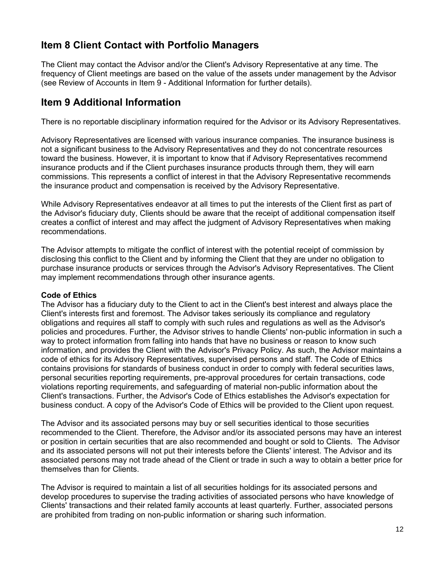# **Item 8 Client Contact with Portfolio Managers**

The Client may contact the Advisor and/or the Client's Advisory Representative at any time. The frequency of Client meetings are based on the value of the assets under management by the Advisor (see Review of Accounts in Item 9 - Additional Information for further details).

# **Item 9 Additional Information**

There is no reportable disciplinary information required for the Advisor or its Advisory Representatives.

Advisory Representatives are licensed with various insurance companies. The insurance business is not a significant business to the Advisory Representatives and they do not concentrate resources toward the business. However, it is important to know that if Advisory Representatives recommend insurance products and if the Client purchases insurance products through them, they will earn commissions. This represents a conflict of interest in that the Advisory Representative recommends the insurance product and compensation is received by the Advisory Representative.

While Advisory Representatives endeavor at all times to put the interests of the Client first as part of the Advisor's fiduciary duty, Clients should be aware that the receipt of additional compensation itself creates a conflict of interest and may affect the judgment of Advisory Representatives when making recommendations.

The Advisor attempts to mitigate the conflict of interest with the potential receipt of commission by disclosing this conflict to the Client and by informing the Client that they are under no obligation to purchase insurance products or services through the Advisor's Advisory Representatives. The Client may implement recommendations through other insurance agents.

## **Code of Ethics**

The Advisor has a fiduciary duty to the Client to act in the Client's best interest and always place the Client's interests first and foremost. The Advisor takes seriously its compliance and regulatory obligations and requires all staff to comply with such rules and regulations as well as the Advisor's policies and procedures. Further, the Advisor strives to handle Clients' non-public information in such a way to protect information from falling into hands that have no business or reason to know such information, and provides the Client with the Advisor's Privacy Policy. As such, the Advisor maintains a code of ethics for its Advisory Representatives, supervised persons and staff. The Code of Ethics contains provisions for standards of business conduct in order to comply with federal securities laws, personal securities reporting requirements, pre-approval procedures for certain transactions, code violations reporting requirements, and safeguarding of material non-public information about the Client's transactions. Further, the Advisor's Code of Ethics establishes the Advisor's expectation for business conduct. A copy of the Advisor's Code of Ethics will be provided to the Client upon request.

The Advisor and its associated persons may buy or sell securities identical to those securities recommended to the Client. Therefore, the Advisor and/or its associated persons may have an interest or position in certain securities that are also recommended and bought or sold to Clients. The Advisor and its associated persons will not put their interests before the Clients' interest. The Advisor and its associated persons may not trade ahead of the Client or trade in such a way to obtain a better price for themselves than for Clients.

The Advisor is required to maintain a list of all securities holdings for its associated persons and develop procedures to supervise the trading activities of associated persons who have knowledge of Clients' transactions and their related family accounts at least quarterly. Further, associated persons are prohibited from trading on non-public information or sharing such information.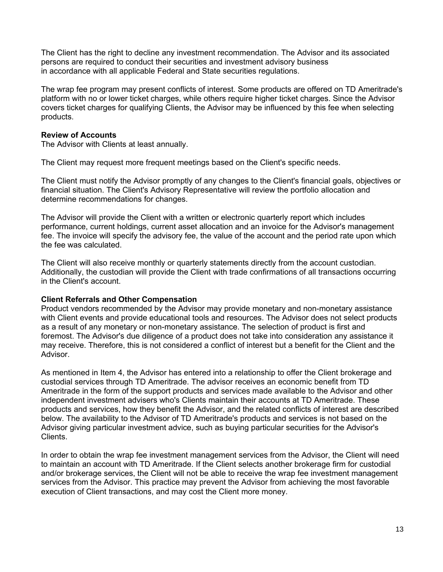The Client has the right to decline any investment recommendation. The Advisor and its associated persons are required to conduct their securities and investment advisory business in accordance with all applicable Federal and State securities regulations.

The wrap fee program may present conflicts of interest. Some products are offered on TD Ameritrade's platform with no or lower ticket charges, while others require higher ticket charges. Since the Advisor covers ticket charges for qualifying Clients, the Advisor may be influenced by this fee when selecting products.

### **Review of Accounts**

The Advisor with Clients at least annually.

The Client may request more frequent meetings based on the Client's specific needs.

The Client must notify the Advisor promptly of any changes to the Client's financial goals, objectives or financial situation. The Client's Advisory Representative will review the portfolio allocation and determine recommendations for changes.

The Advisor will provide the Client with a written or electronic quarterly report which includes performance, current holdings, current asset allocation and an invoice for the Advisor's management fee. The invoice will specify the advisory fee, the value of the account and the period rate upon which the fee was calculated.

The Client will also receive monthly or quarterly statements directly from the account custodian. Additionally, the custodian will provide the Client with trade confirmations of all transactions occurring in the Client's account.

## **Client Referrals and Other Compensation**

Product vendors recommended by the Advisor may provide monetary and non-monetary assistance with Client events and provide educational tools and resources. The Advisor does not select products as a result of any monetary or non-monetary assistance. The selection of product is first and foremost. The Advisor's due diligence of a product does not take into consideration any assistance it may receive. Therefore, this is not considered a conflict of interest but a benefit for the Client and the Advisor.

As mentioned in Item 4, the Advisor has entered into a relationship to offer the Client brokerage and custodial services through TD Ameritrade. The advisor receives an economic benefit from TD Ameritrade in the form of the support products and services made available to the Advisor and other independent investment advisers who's Clients maintain their accounts at TD Ameritrade. These products and services, how they benefit the Advisor, and the related conflicts of interest are described below. The availability to the Advisor of TD Ameritrade's products and services is not based on the Advisor giving particular investment advice, such as buying particular securities for the Advisor's Clients.

In order to obtain the wrap fee investment management services from the Advisor, the Client will need to maintain an account with TD Ameritrade. If the Client selects another brokerage firm for custodial and/or brokerage services, the Client will not be able to receive the wrap fee investment management services from the Advisor. This practice may prevent the Advisor from achieving the most favorable execution of Client transactions, and may cost the Client more money.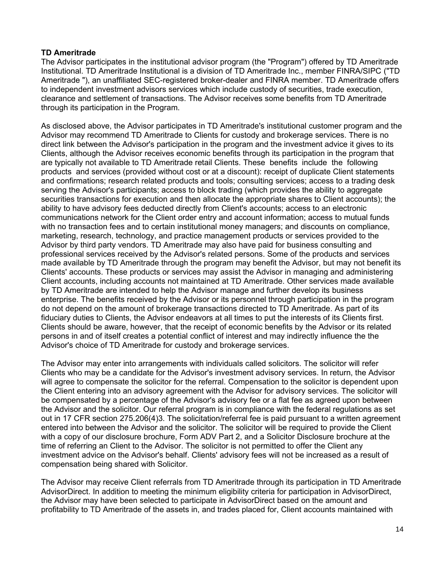# **TD Ameritrade**

The Advisor participates in the institutional advisor program (the "Program") offered by TD Ameritrade Institutional. TD Ameritrade Institutional is a division of TD Ameritrade Inc., member FINRA/SIPC ("TD Ameritrade "), an unaffiliated SEC-registered broker-dealer and FINRA member. TD Ameritrade offers to independent investment advisors services which include custody of securities, trade execution, clearance and settlement of transactions. The Advisor receives some benefits from TD Ameritrade through its participation in the Program.

As disclosed above, the Advisor participates in TD Ameritrade's institutional customer program and the Advisor may recommend TD Ameritrade to Clients for custody and brokerage services. There is no direct link between the Advisor's participation in the program and the investment advice it gives to its Clients, although the Advisor receives economic benefits through its participation in the program that are typically not available to TD Ameritrade retail Clients. These benefits include the following products and services (provided without cost or at a discount): receipt of duplicate Client statements and confirmations; research related products and tools; consulting services; access to a trading desk serving the Advisor's participants; access to block trading (which provides the ability to aggregate securities transactions for execution and then allocate the appropriate shares to Client accounts); the ability to have advisory fees deducted directly from Client's accounts; access to an electronic communications network for the Client order entry and account information; access to mutual funds with no transaction fees and to certain institutional money managers; and discounts on compliance, marketing, research, technology, and practice management products or services provided to the Advisor by third party vendors. TD Ameritrade may also have paid for business consulting and professional services received by the Advisor's related persons. Some of the products and services made available by TD Ameritrade through the program may benefit the Advisor, but may not benefit its Clients' accounts. These products or services may assist the Advisor in managing and administering Client accounts, including accounts not maintained at TD Ameritrade. Other services made available by TD Ameritrade are intended to help the Advisor manage and further develop its business enterprise. The benefits received by the Advisor or its personnel through participation in the program do not depend on the amount of brokerage transactions directed to TD Ameritrade. As part of its fiduciary duties to Clients, the Advisor endeavors at all times to put the interests of its Clients first. Clients should be aware, however, that the receipt of economic benefits by the Advisor or its related persons in and of itself creates a potential conflict of interest and may indirectly influence the the Advisor's choice of TD Ameritrade for custody and brokerage services.

The Advisor may enter into arrangements with individuals called solicitors. The solicitor will refer Clients who may be a candidate for the Advisor's investment advisory services. In return, the Advisor will agree to compensate the solicitor for the referral. Compensation to the solicitor is dependent upon the Client entering into an advisory agreement with the Advisor for advisory services. The solicitor will be compensated by a percentage of the Advisor's advisory fee or a flat fee as agreed upon between the Advisor and the solicitor. Our referral program is in compliance with the federal regulations as set out in 17 CFR section 275.206(4)3. The solicitation/referral fee is paid pursuant to a written agreement entered into between the Advisor and the solicitor. The solicitor will be required to provide the Client with a copy of our disclosure brochure, Form ADV Part 2, and a Solicitor Disclosure brochure at the time of referring an Client to the Advisor. The solicitor is not permitted to offer the Client any investment advice on the Advisor's behalf. Clients' advisory fees will not be increased as a result of compensation being shared with Solicitor.

The Advisor may receive Client referrals from TD Ameritrade through its participation in TD Ameritrade AdvisorDirect. In addition to meeting the minimum eligibility criteria for participation in AdvisorDirect, the Advisor may have been selected to participate in AdvisorDirect based on the amount and profitability to TD Ameritrade of the assets in, and trades placed for, Client accounts maintained with